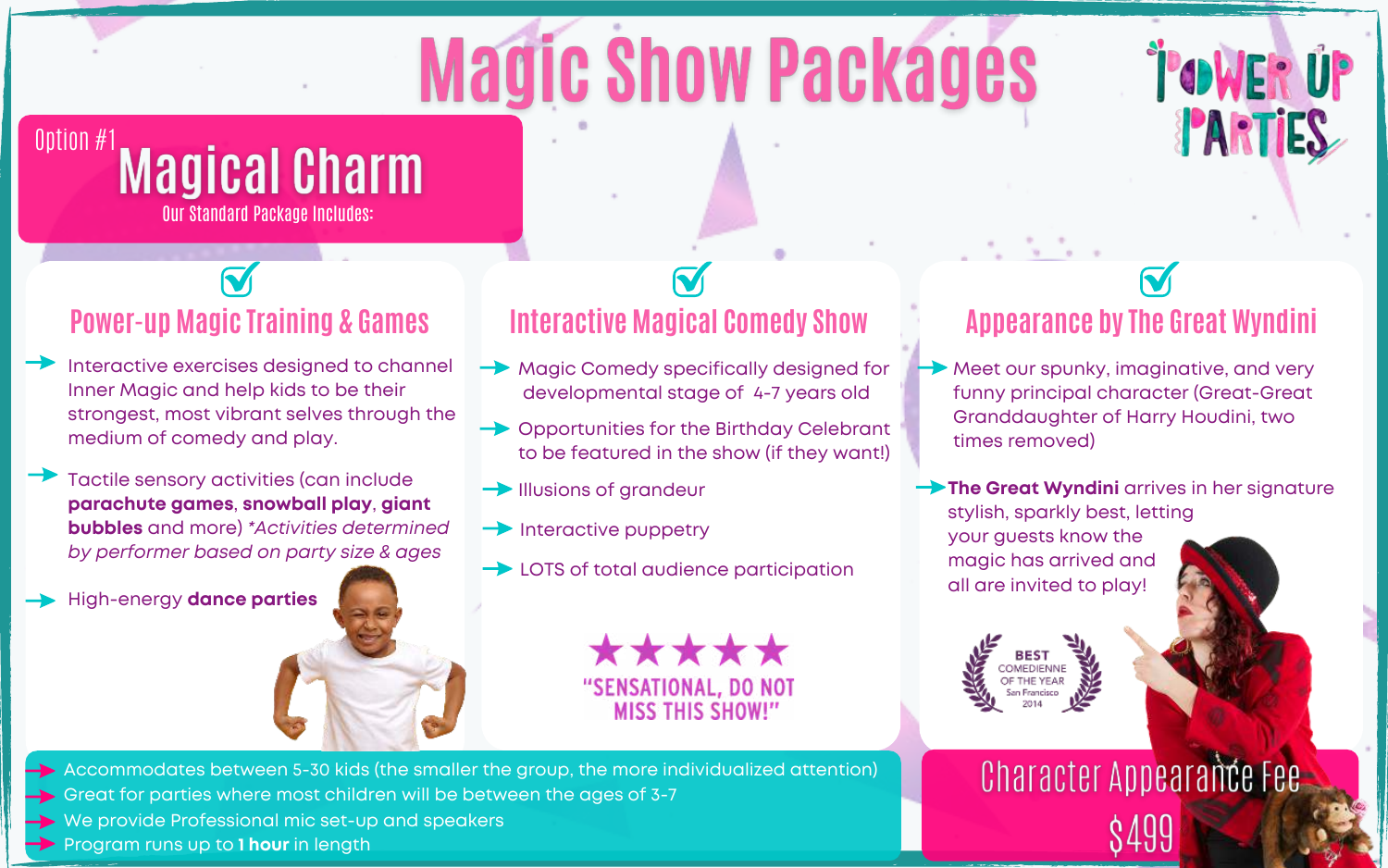# **Magic Show Packages**



### Option #1 Magical Charm Our Standard Package Includes:

#### **Power-up Magic Training & Games**

Interactive exercises designed to channel Inner Magic and help kids to be their strongest, most vibrant selves through the medium of comedy and play.

Tactile sensory activities (can include **parachute games**, **snowball play**, **giant bubbles** and more) *\*Activities determined by performer based on party size & ages*

High-energy **dance parties** 



- $\rightarrow$  Magic Comedy specifically designed for developmental stage of 4-7 years old
- **→ Opportunities for the Birthday Celebrant** to be featured in the show (if they want!)
- $\rightarrow$  Illusions of grandeur
- $\rightarrow$  Interactive puppetry
- **→ LOTS of total audience participation**

\*\*\*\*\* "SENSATIONAL, DO NOT **MISS THIS SHOW!"** 

### **Appearance by The Great Wyndini**

- Meet our spunky, imaginative, and very funny principal character (Great-Great Granddaughter of Harry Houdini, two times removed)
- **The Great Wyndini** arrives in her signature stylish, sparkly best, letting your guests know the magic has arrived and all are invited to play!



Character Appearance Fee

- $\rightarrow$  Accommodates between 5-30 kids (the smaller the group, the more individualized attention)
- $\rightarrow$  Great for parties where most children will be between the ages of 3-7
- $\rightarrow$  We provide Professional mic set-up and speakers
- **Program runs up to 1 hour in length**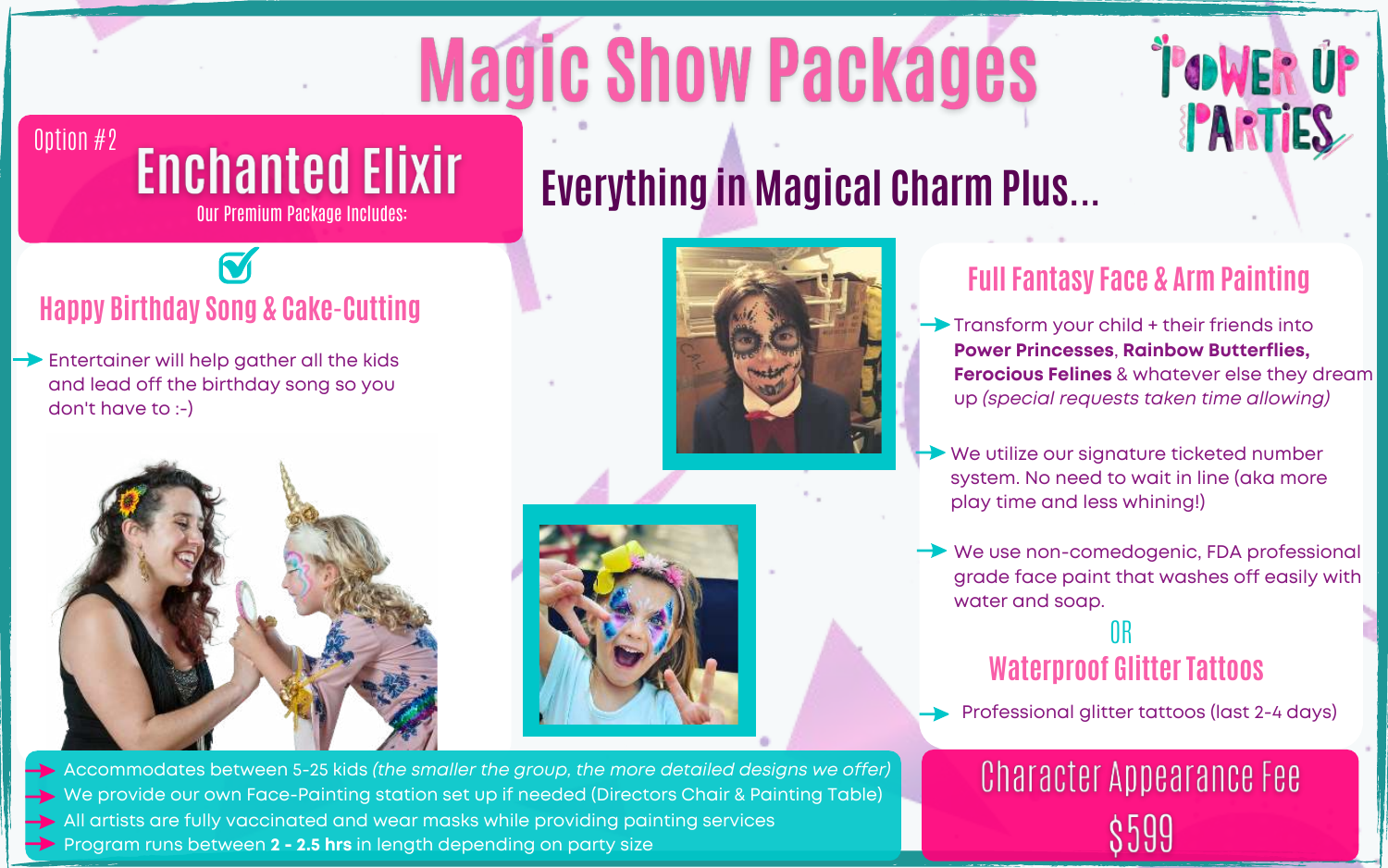# **Magic Show Packages**



#### Option #2 **Enchanted Elixir** Our Premium Package Includes:

### **Happy Birthday Song & Cake-Cutting**

Entertainer will help gather all the kids and lead off the birthday song so you don't have to :-)









#### **Full Fantasy Face & Arm Painting**

 $\rightarrow$  Transform your child  $+$  their friends into **Power Princesses**, **Rainbow Butterflies, Ferocious Felines** & whatever else they dream up *(special requests taken time allowing)*

- We utilize our signature ticketed number system. No need to wait in line (aka more play time and less whining!)
- **→** We use non-comedogenic, FDA professional grade face paint that washes off easily with water and soap.

#### OR **Waterproof Glitter Tattoos**

Professional glitter tattoos (last 2-4 days)

# **Character Appearance Fee**

We provide our own Face-Painting station set up if needed (Directors Chair & Painting Table) **Program runs between 2 - 2.5 hrs in length depending on party size** Accommodates between 5-25 kids *(the smaller the group, the more detailed designs we offer)*  $\rightarrow$  All artists are fully vaccinated and wear masks while providing painting services